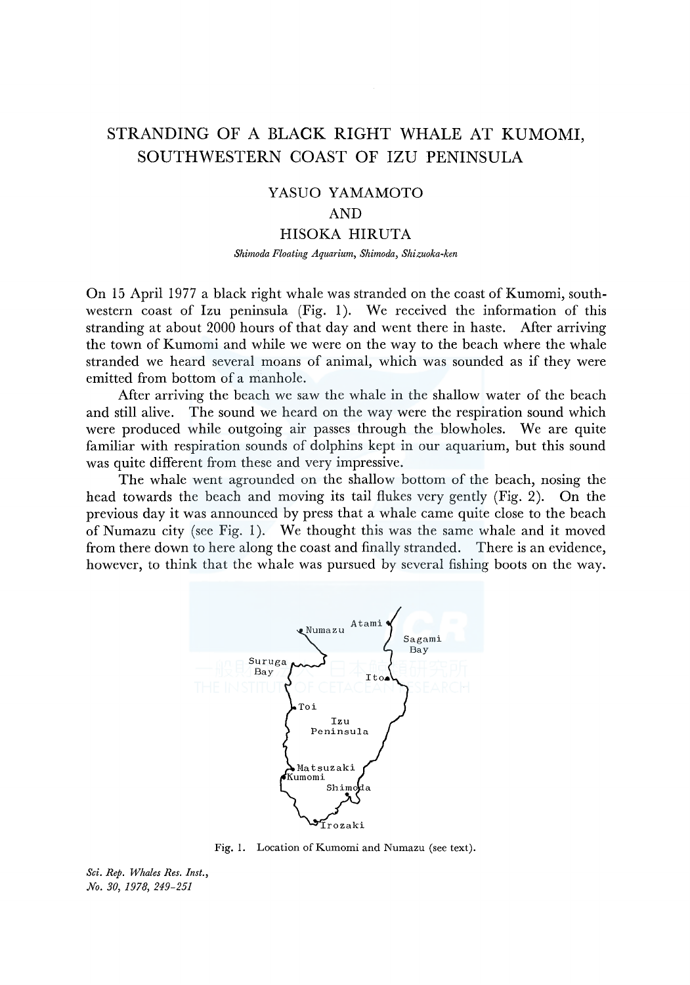# STRANDING OF A BLACK RIGHT WHALE AT KUMOMI, SOUTHWESTERN COAST OF IZU PENINSULA

### YASUO YAMAMOTO

### AND

## HISOKA HIRUTA

*Shimoda Floating Aquarium, Shimoda, Shizuoka-ken* 

On 15 April 1977 a black right whale was stranded on the coast of Kumomi, southwestern coast of Izu peninsula  $(Fig. 1)$ . We received the information of this stranding at about 2000 hours of that day and went there in haste. After arriving the town of Kumomi and while we were on the way to the beach where the whale stranded we heard several moans of animal, which was sounded as if they were emitted from bottom of a manhole.

After arriving the beach we saw the whale in the shallow water of the beach and still alive. The sound we heard on the way were the respiration sound which were produced while outgoing air passes through the blowholes. We are quite familiar with respiration sounds of dolphins kept in our aquarium, but this sound was quite different from these and very impressive.

The whale went agrounded on the shallow bottom of the beach, nosing the head towards the beach and moving its tail flukes very gently (Fig. 2). On the previous day it was announced by press that a whale came quite close to the beach of Numazu city (see Fig. 1). We thought this was the same whale and it moved from there down to here along the coast and finally stranded. There is an evidence, however, to think that the whale was pursued by several fishing boots on the way.



Fig. 1. Location of Kumomi and Numazu (see text).

*Sci. Rep. Whales Res. Inst., No. 30, 1978, 249-251*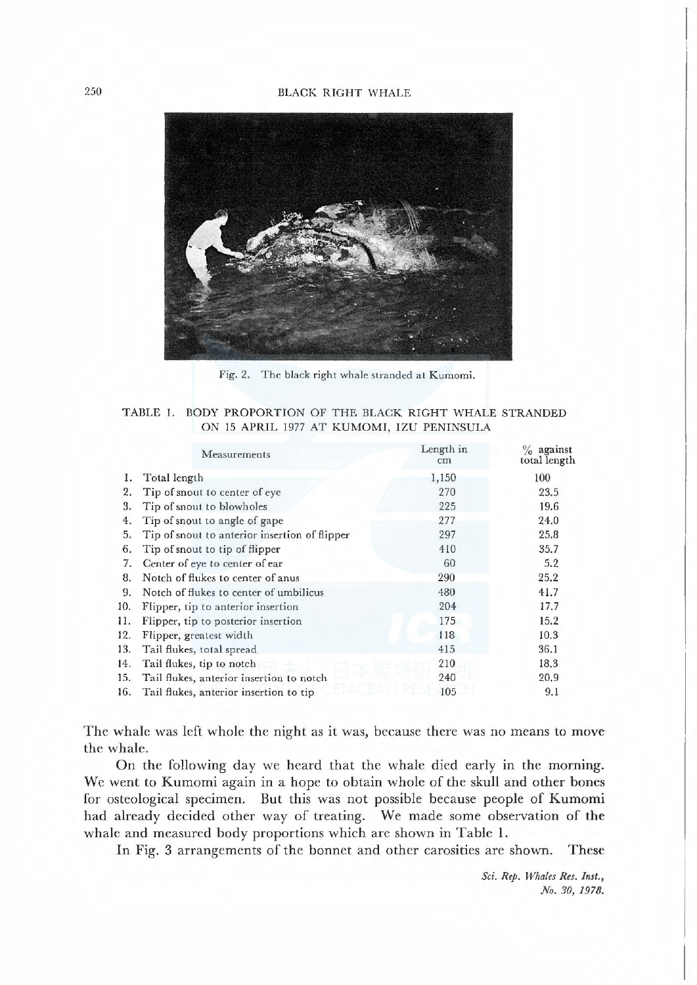#### 250 BLACK RIGHT WHALE



Fig. 2. The black right whale stranded at Kumomi.

|                                           | TABLE 1. BODY PROPORTION OF THE BLACK RIGHT WHALE STRANDED |  |  |
|-------------------------------------------|------------------------------------------------------------|--|--|
| ON 15 APRIL 1977 AT KUMOMI, IZU PENINSULA |                                                            |  |  |

|     | Measurements                                  | Length in<br>cm | $\%$ against<br>total length |
|-----|-----------------------------------------------|-----------------|------------------------------|
| 1.  | Total length                                  | 1,150           | 100                          |
| 2.  | Tip of snout to center of eye                 | 270             | 23.5                         |
| 3.  | Tip of snout to blowholes                     | 225             | 19.6                         |
| 4.  | Tip of snout to angle of gape                 | 277             | 24.0                         |
| 5.  | Tip of snout to anterior insertion of flipper | 297             | 25.8                         |
| 6.  | Tip of snout to tip of flipper                | 410             | 35.7                         |
| 7.  | Center of eye to center of ear                | 60              | 5.2                          |
| 8.  | Notch of flukes to center of anus             | 290             | 25.2                         |
| 9.  | Notch of flukes to center of umbilicus        | 480             | 41.7                         |
| 10. | Flipper, tip to anterior insertion            | 204             | 17.7                         |
| 11. | Flipper, tip to posterior insertion           | 175             | 15.2                         |
| 12. | Flipper, greatest width                       | 118             | 10.3                         |
| 13. | Tail flukes, total spread                     | 415             | 36.1                         |
| 14. | Tail flukes, tip to notch                     | 210             | 18.3                         |
|     | 15. Tail flukes, anterior insertion to notch  | 240             | 20.9                         |
|     | 16. Tail flukes, anterior insertion to tip    | 105             | 9,1                          |

The whale was left whole the night as it was, because there was no means to move the whale.

On the following day we heard that the whale died early in the morning. We went to Kumomi again in a hope to obtain whole of the skull and other bones for osteological specimen. But this was not possible because people of Kumomi had already decided other way of treating. We made some observation of the whale and measured body proportions which are shown in Table 1.

In Fig. 3 arrangements of the bonnet and other carosities are shown. These

Sci. Rep. Whales Res. Inst., No. 30, 1978.